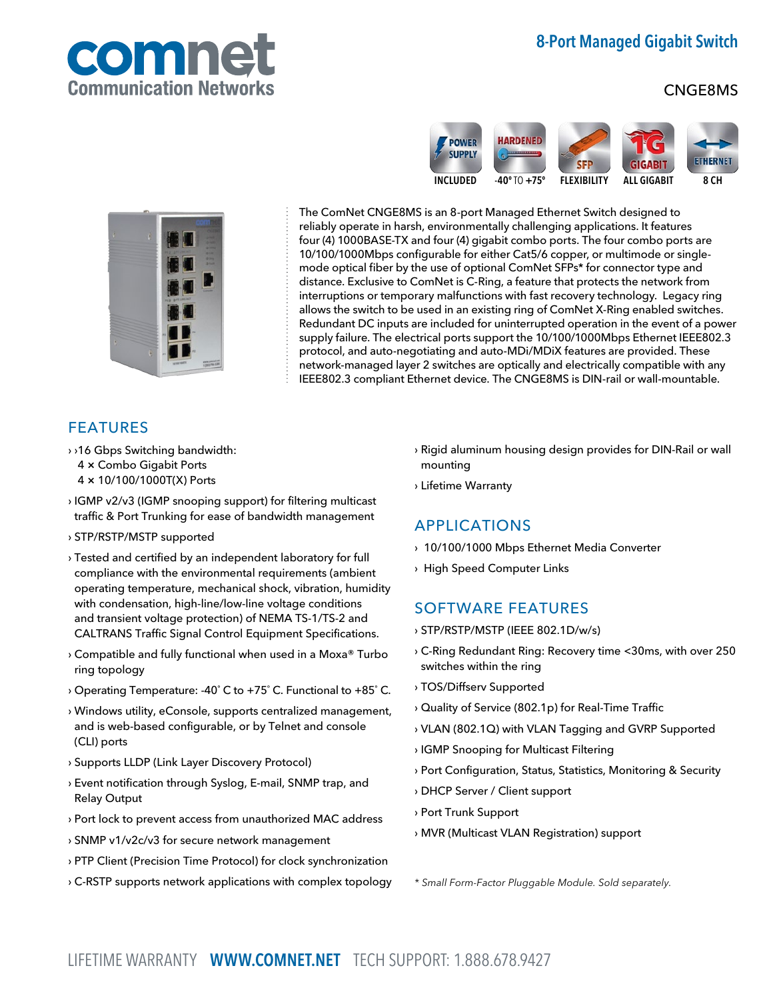

# 8-Port Managed Gigabit Switch

## CNGE8MS





The ComNet CNGE8MS is an 8-port Managed Ethernet Switch designed to reliably operate in harsh, environmentally challenging applications. It features four (4) 1000BASE-TX and four (4) gigabit combo ports. The four combo ports are 10/100/1000Mbps configurable for either Cat5/6 copper, or multimode or singlemode optical fiber by the use of optional ComNet SFPs\* for connector type and distance. Exclusive to ComNet is C-Ring, a feature that protects the network from interruptions or temporary malfunctions with fast recovery technology. Legacy ring allows the switch to be used in an existing ring of ComNet X-Ring enabled switches. Redundant DC inputs are included for uninterrupted operation in the event of a power supply failure. The electrical ports support the 10/100/1000Mbps Ethernet IEEE802.3 protocol, and auto-negotiating and auto-MDi/MDiX features are provided. These network-managed layer 2 switches are optically and electrically compatible with any IEEE802.3 compliant Ethernet device. The CNGE8MS is DIN-rail or wall-mountable.

## FEATURES

- › ›16 Gbps Switching bandwidth: 4 × Combo Gigabit Ports
	- 4 × 10/100/1000T(X) Ports
- › IGMP v2/v3 (IGMP snooping support) for filtering multicast traffic & Port Trunking for ease of bandwidth management
- › STP/RSTP/MSTP supported
- › Tested and certified by an independent laboratory for full compliance with the environmental requirements (ambient operating temperature, mechanical shock, vibration, humidity with condensation, high-line/low-line voltage conditions and transient voltage protection) of NEMA TS-1/TS-2 and CALTRANS Traffic Signal Control Equipment Specifications.
- › Compatible and fully functional when used in a Moxa® Turbo ring topology
- › Operating Temperature: -40˚ C to +75˚ C. Functional to +85˚ C.
- › Windows utility, eConsole, supports centralized management, and is web-based configurable, or by Telnet and console (CLI) ports
- › Supports LLDP (Link Layer Discovery Protocol)
- › Event notification through Syslog, E-mail, SNMP trap, and Relay Output
- › Port lock to prevent access from unauthorized MAC address
- › SNMP v1/v2c/v3 for secure network management
- › PTP Client (Precision Time Protocol) for clock synchronization
- › C-RSTP supports network applications with complex topology
- › Rigid aluminum housing design provides for DIN-Rail or wall mounting
- › Lifetime Warranty

## APPLICATIONS

- › 10/100/1000 Mbps Ethernet Media Converter
- › High Speed Computer Links

## SOFTWARE FEATURES

- › STP/RSTP/MSTP (IEEE 802.1D/w/s)
- › C-Ring Redundant Ring: Recovery time <30ms, with over 250 switches within the ring
- › TOS/Diffserv Supported
- › Quality of Service (802.1p) for Real-Time Traffic
- › VLAN (802.1Q) with VLAN Tagging and GVRP Supported
- › IGMP Snooping for Multicast Filtering
- › Port Configuration, Status, Statistics, Monitoring & Security
- › DHCP Server / Client support
- › Port Trunk Support
- › MVR (Multicast VLAN Registration) support

\* Small Form-Factor Pluggable Module. Sold separately.